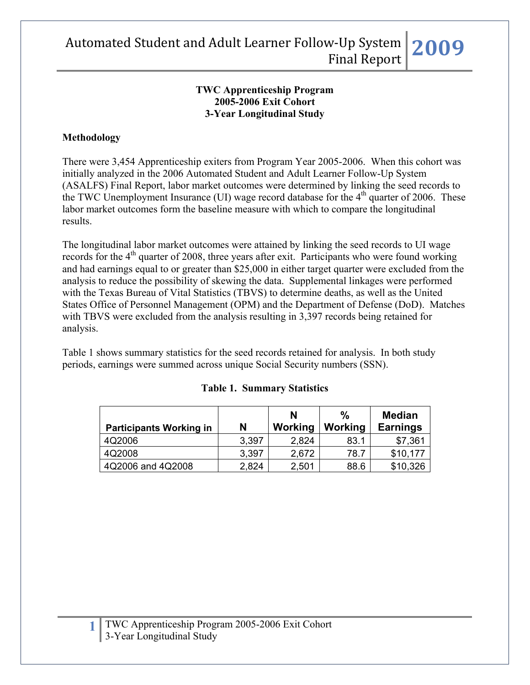#### **TWC Apprenticeship Program 2005-2006 Exit Cohort 3-Year Longitudinal Study**

#### **Methodology**

There were 3,454 Apprenticeship exiters from Program Year 2005-2006. When this cohort was initially analyzed in the 2006 Automated Student and Adult Learner Follow-Up System (ASALFS) Final Report, labor market outcomes were determined by linking the seed records to the TWC Unemployment Insurance (UI) wage record database for the  $4<sup>th</sup>$  quarter of 2006. These labor market outcomes form the baseline measure with which to compare the longitudinal results.

The longitudinal labor market outcomes were attained by linking the seed records to UI wage records for the 4<sup>th</sup> quarter of 2008, three years after exit. Participants who were found working and had earnings equal to or greater than \$25,000 in either target quarter were excluded from the analysis to reduce the possibility of skewing the data. Supplemental linkages were performed with the Texas Bureau of Vital Statistics (TBVS) to determine deaths, as well as the United States Office of Personnel Management (OPM) and the Department of Defense (DoD). Matches with TBVS were excluded from the analysis resulting in 3,397 records being retained for analysis.

Table 1 shows summary statistics for the seed records retained for analysis. In both study periods, earnings were summed across unique Social Security numbers (SSN).

| <b>Participants Working in</b> | N     | N<br>Working | %<br>Working | <b>Median</b><br><b>Earnings</b> |
|--------------------------------|-------|--------------|--------------|----------------------------------|
| 4Q2006                         | 3,397 | 2,824        | 83.1         | \$7,361                          |
| 4Q2008                         | 3,397 | 2,672        | 78.7         | \$10,177                         |
| 4Q2006 and 4Q2008              | 2,824 | 2,501        | 88.6         | \$10,326                         |

#### **Table 1. Summary Statistics**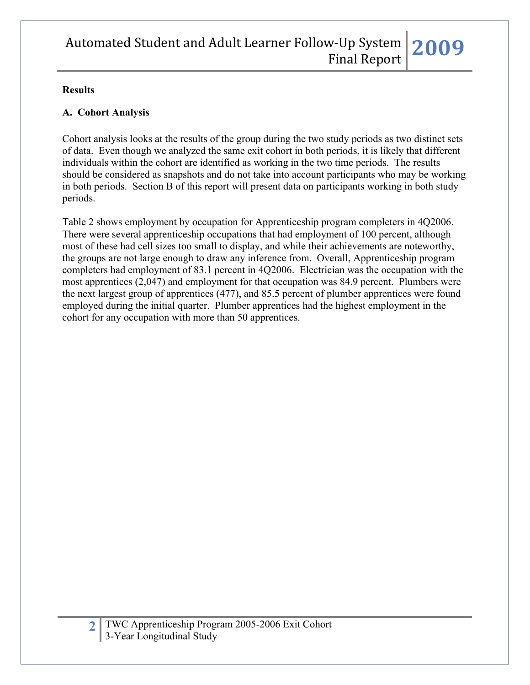#### **Results**

## **A. Cohort Analysis**

Cohort analysis looks at the results of the group during the two study periods as two distinct sets of data. Even though we analyzed the same exit cohort in both periods, it is likely that different individuals within the cohort are identified as working in the two time periods. The results should be considered as snapshots and do not take into account participants who may be working in both periods. Section B of this report will present data on participants working in both study periods.

Table 2 shows employment by occupation for Apprenticeship program completers in 4Q2006. There were several apprenticeship occupations that had employment of 100 percent, although most of these had cell sizes too small to display, and while their achievements are noteworthy, the groups are not large enough to draw any inference from. Overall, Apprenticeship program completers had employment of 83.1 percent in 4Q2006. Electrician was the occupation with the most apprentices (2,047) and employment for that occupation was 84.9 percent. Plumbers were the next largest group of apprentices (477), and 85.5 percent of plumber apprentices were found employed during the initial quarter. Plumber apprentices had the highest employment in the cohort for any occupation with more than 50 apprentices.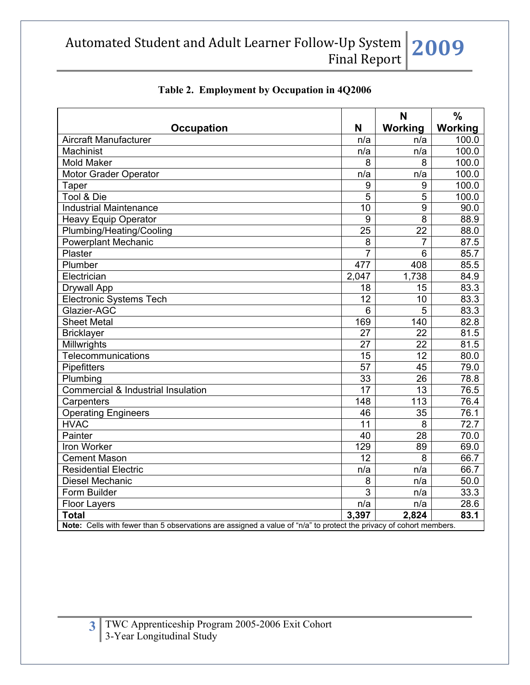|                                                                                                                    |                 | N               | $\frac{0}{0}$ |  |  |
|--------------------------------------------------------------------------------------------------------------------|-----------------|-----------------|---------------|--|--|
| <b>Occupation</b>                                                                                                  | N               | Working         | Working       |  |  |
| Aircraft Manufacturer                                                                                              | n/a             | n/a             | 100.0         |  |  |
| Machinist                                                                                                          | n/a             | n/a             | 100.0         |  |  |
| <b>Mold Maker</b>                                                                                                  | 8               | 8               | 100.0         |  |  |
| <b>Motor Grader Operator</b>                                                                                       | n/a             | n/a             | 100.0         |  |  |
| Taper                                                                                                              | 9               | 9               | 100.0         |  |  |
| Tool & Die                                                                                                         | 5               | 5               | 100.0         |  |  |
| <b>Industrial Maintenance</b>                                                                                      | 10              | 9               | 90.0          |  |  |
| <b>Heavy Equip Operator</b>                                                                                        | 9               | $\overline{8}$  | 88.9          |  |  |
| Plumbing/Heating/Cooling                                                                                           | $\overline{25}$ | $\overline{22}$ | 88.0          |  |  |
| <b>Powerplant Mechanic</b>                                                                                         | 8               | $\overline{7}$  | 87.5          |  |  |
| Plaster                                                                                                            | $\overline{7}$  | 6               | 85.7          |  |  |
| Plumber                                                                                                            | 477             | 408             | 85.5          |  |  |
| Electrician                                                                                                        | 2,047           | 1,738           | 84.9          |  |  |
| <b>Drywall App</b>                                                                                                 | 18              | 15              | 83.3          |  |  |
| <b>Electronic Systems Tech</b>                                                                                     | $\overline{12}$ | 10              | 83.3          |  |  |
| Glazier-AGC                                                                                                        | 6               | 5               | 83.3          |  |  |
| <b>Sheet Metal</b>                                                                                                 | 169             | 140             | 82.8          |  |  |
| <b>Bricklayer</b>                                                                                                  | 27              | 22              | 81.5          |  |  |
| Millwrights                                                                                                        | 27              | 22              | 81.5          |  |  |
| <b>Telecommunications</b>                                                                                          | $\overline{15}$ | $\overline{12}$ | 80.0          |  |  |
| Pipefitters                                                                                                        | $\overline{57}$ | 45              | 79.0          |  |  |
| Plumbing                                                                                                           | 33              | $\overline{26}$ | 78.8          |  |  |
| Commercial & Industrial Insulation                                                                                 | $\overline{17}$ | $\overline{13}$ | 76.5          |  |  |
| Carpenters                                                                                                         | 148             | 113             | 76.4          |  |  |
| <b>Operating Engineers</b>                                                                                         | 46              | 35              | 76.1          |  |  |
| <b>HVAC</b>                                                                                                        | $\overline{11}$ | 8               | 72.7          |  |  |
| Painter                                                                                                            | 40              | 28              | 70.0          |  |  |
| Iron Worker                                                                                                        | 129             | 89              | 69.0          |  |  |
| <b>Cement Mason</b>                                                                                                | 12              | 8               | 66.7          |  |  |
| <b>Residential Electric</b>                                                                                        | n/a             | n/a             | 66.7          |  |  |
| <b>Diesel Mechanic</b>                                                                                             | 8               | n/a             | 50.0          |  |  |
| Form Builder                                                                                                       | $\overline{3}$  | n/a             | 33.3          |  |  |
| <b>Floor Layers</b>                                                                                                | n/a             | n/a             | 28.6          |  |  |
| <b>Total</b>                                                                                                       | 3,397           | 2,824           | 83.1          |  |  |
| Note: Cells with fewer than 5 observations are assigned a value of "n/a" to protect the privacy of cohort members. |                 |                 |               |  |  |

#### **Table 2. Employment by Occupation in 4Q2006**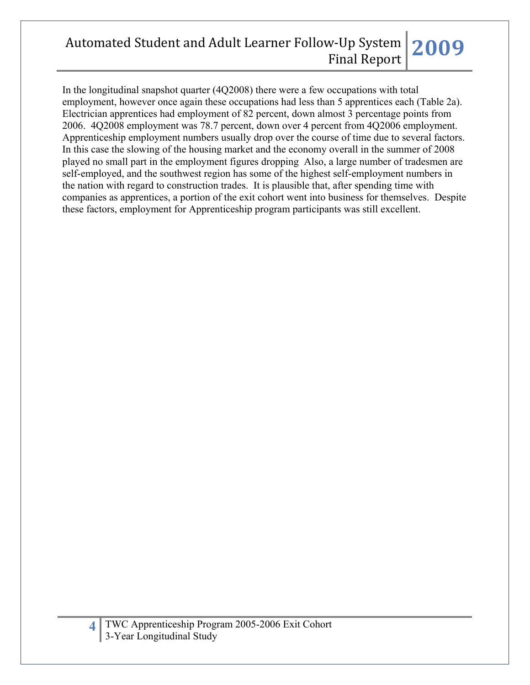In the longitudinal snapshot quarter (4Q2008) there were a few occupations with total employment, however once again these occupations had less than 5 apprentices each (Table 2a). Electrician apprentices had employment of 82 percent, down almost 3 percentage points from 2006. 4Q2008 employment was 78.7 percent, down over 4 percent from 4Q2006 employment. Apprenticeship employment numbers usually drop over the course of time due to several factors. In this case the slowing of the housing market and the economy overall in the summer of 2008 played no small part in the employment figures dropping Also, a large number of tradesmen are self-employed, and the southwest region has some of the highest self-employment numbers in the nation with regard to construction trades. It is plausible that, after spending time with companies as apprentices, a portion of the exit cohort went into business for themselves. Despite these factors, employment for Apprenticeship program participants was still excellent.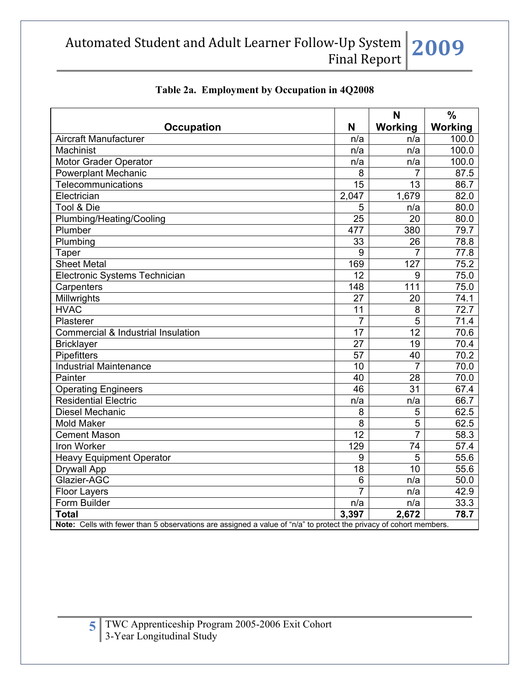|                                                                                                                    |                 | N               | $\frac{0}{0}$     |  |
|--------------------------------------------------------------------------------------------------------------------|-----------------|-----------------|-------------------|--|
| <b>Occupation</b>                                                                                                  | N               | Working         | Working           |  |
| Aircraft Manufacturer                                                                                              | n/a             | n/a             | 100.0             |  |
| <b>Machinist</b>                                                                                                   | n/a             | n/a             | 100.0             |  |
| Motor Grader Operator                                                                                              | n/a             | n/a             | 100.0             |  |
| <b>Powerplant Mechanic</b>                                                                                         | 8               | 7               | 87.5              |  |
| Telecommunications                                                                                                 | $\overline{15}$ | $\overline{13}$ | 86.7              |  |
| Electrician                                                                                                        | 2,047           | 1,679           | 82.0              |  |
| Tool & Die                                                                                                         | 5               | n/a             | 80.0              |  |
| Plumbing/Heating/Cooling                                                                                           | $\overline{25}$ | $\overline{20}$ | 80.0              |  |
| Plumber                                                                                                            | 477             | 380             | 79.7              |  |
| Plumbing                                                                                                           | 33              | 26              | $\overline{78.8}$ |  |
| Taper                                                                                                              | 9               | $\overline{7}$  | 77.8              |  |
| <b>Sheet Metal</b>                                                                                                 | 169             | 127             | 75.2              |  |
| Electronic Systems Technician                                                                                      | $\overline{12}$ | 9               | 75.0              |  |
| Carpenters                                                                                                         | 148             | 111             | 75.0              |  |
| Millwrights                                                                                                        | $\overline{27}$ | 20              | 74.1              |  |
| <b>HVAC</b>                                                                                                        | $\overline{11}$ | 8               | 72.7              |  |
| Plasterer                                                                                                          | $\overline{7}$  | 5               | 71.4              |  |
| Commercial & Industrial Insulation                                                                                 | $\overline{17}$ | $\overline{12}$ | 70.6              |  |
| <b>Bricklayer</b>                                                                                                  | 27              | 19              | 70.4              |  |
| Pipefitters                                                                                                        | 57              | 40              | $\overline{70.2}$ |  |
| <b>Industrial Maintenance</b>                                                                                      | 10              | $\overline{7}$  | 70.0              |  |
| Painter                                                                                                            | $\overline{40}$ | $\overline{28}$ | 70.0              |  |
| <b>Operating Engineers</b>                                                                                         | 46              | $\overline{31}$ | 67.4              |  |
| Residential Electric                                                                                               | n/a             | n/a             | 66.7              |  |
| <b>Diesel Mechanic</b>                                                                                             | 8               | 5               | 62.5              |  |
| <b>Mold Maker</b>                                                                                                  | 8               | $\overline{5}$  | 62.5              |  |
| <b>Cement Mason</b>                                                                                                | $\overline{12}$ | $\overline{7}$  | 58.3              |  |
| Iron Worker                                                                                                        | 129             | 74              | 57.4              |  |
| <b>Heavy Equipment Operator</b>                                                                                    | 9               | $\overline{5}$  | 55.6              |  |
| Drywall App                                                                                                        | 18              | $\overline{10}$ | 55.6              |  |
| Glazier-AGC                                                                                                        | 6               | n/a             | 50.0              |  |
| <b>Floor Layers</b>                                                                                                | $\overline{7}$  | n/a             | 42.9              |  |
| Form Builder                                                                                                       | n/a             | n/a             | 33.3              |  |
| <b>Total</b>                                                                                                       | 3,397           | 2,672           | 78.7              |  |
| Note: Cells with fewer than 5 observations are assigned a value of "n/a" to protect the privacy of cohort members. |                 |                 |                   |  |

## **Table 2a. Employment by Occupation in 4Q2008**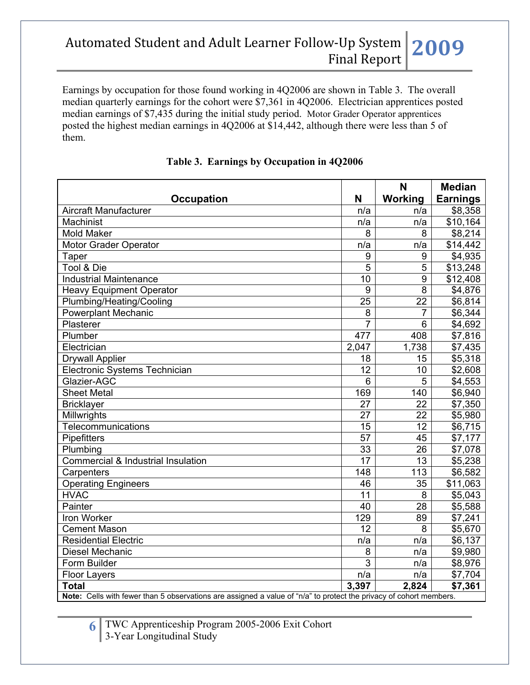Earnings by occupation for those found working in 4Q2006 are shown in Table 3. The overall median quarterly earnings for the cohort were \$7,361 in 4Q2006. Electrician apprentices posted median earnings of \$7,435 during the initial study period. Motor Grader Operator apprentices posted the highest median earnings in 4Q2006 at \$14,442, although there were less than 5 of them.

|                                                                                                                    |                 | N                  | <b>Median</b>   |  |
|--------------------------------------------------------------------------------------------------------------------|-----------------|--------------------|-----------------|--|
| <b>Occupation</b>                                                                                                  | N               | Working            | <b>Earnings</b> |  |
| <b>Aircraft Manufacturer</b>                                                                                       | n/a             | n/a                | \$8,358         |  |
| Machinist                                                                                                          | n/a             | n/a                | \$10,164        |  |
| <b>Mold Maker</b>                                                                                                  | 8               | 8                  | \$8,214         |  |
| Motor Grader Operator                                                                                              | n/a             | n/a                | \$14,442        |  |
| Taper                                                                                                              | 9               | 9                  | \$4,935         |  |
| Tool & Die                                                                                                         | 5               | 5                  | \$13,248        |  |
| <b>Industrial Maintenance</b>                                                                                      | 10              | 9                  | \$12,408        |  |
| <b>Heavy Equipment Operator</b>                                                                                    | 9               | 8                  | \$4,876         |  |
| Plumbing/Heating/Cooling                                                                                           | 25              | 22                 | \$6,814         |  |
| <b>Powerplant Mechanic</b>                                                                                         | 8               | $\overline{7}$     | \$6,344         |  |
| Plasterer                                                                                                          | $\overline{7}$  | 6                  | \$4,692         |  |
| Plumber                                                                                                            | 477             | 408                | \$7,816         |  |
| Electrician                                                                                                        | 2,047           | $\overline{1,}738$ | \$7,435         |  |
| <b>Drywall Applier</b>                                                                                             | 18              | 15                 | \$5,318         |  |
| Electronic Systems Technician                                                                                      | 12              | 10                 | \$2,608         |  |
| Glazier-AGC                                                                                                        | 6               | 5                  | \$4,553         |  |
| <b>Sheet Metal</b>                                                                                                 | 169             | 140                | \$6,940         |  |
| <b>Bricklayer</b>                                                                                                  | 27              | 22                 | \$7,350         |  |
| Millwrights                                                                                                        | 27              | 22                 | \$5,980         |  |
| <b>Telecommunications</b>                                                                                          | $\overline{15}$ | 12                 | \$6,715         |  |
| Pipefitters                                                                                                        | 57              | 45                 | \$7,177         |  |
| Plumbing                                                                                                           | $\overline{33}$ | $\overline{26}$    | \$7,078         |  |
| Commercial & Industrial Insulation                                                                                 | $\overline{17}$ | 13                 | \$5,238         |  |
| Carpenters                                                                                                         | 148             | 113                | \$6,582         |  |
| <b>Operating Engineers</b>                                                                                         | 46              | 35                 | \$11,063        |  |
| <b>HVAC</b>                                                                                                        | $\overline{11}$ | 8                  | \$5,043         |  |
| Painter                                                                                                            | 40              | 28                 | \$5,588         |  |
| Iron Worker                                                                                                        | 129             | 89                 | \$7,241         |  |
| <b>Cement Mason</b>                                                                                                | 12              | 8                  | \$5,670         |  |
| <b>Residential Electric</b>                                                                                        | n/a             | n/a                | \$6,137         |  |
| <b>Diesel Mechanic</b>                                                                                             | 8               | n/a                | \$9,980         |  |
| Form Builder                                                                                                       | 3               | n/a                | \$8,976         |  |
| <b>Floor Layers</b>                                                                                                | n/a             | n/a                | \$7,704         |  |
| <b>Total</b>                                                                                                       | 3,397           | 2,824              | \$7,361         |  |
| Note: Cells with fewer than 5 observations are assigned a value of "n/a" to protect the privacy of cohort members. |                 |                    |                 |  |

#### **Table 3. Earnings by Occupation in 4Q2006**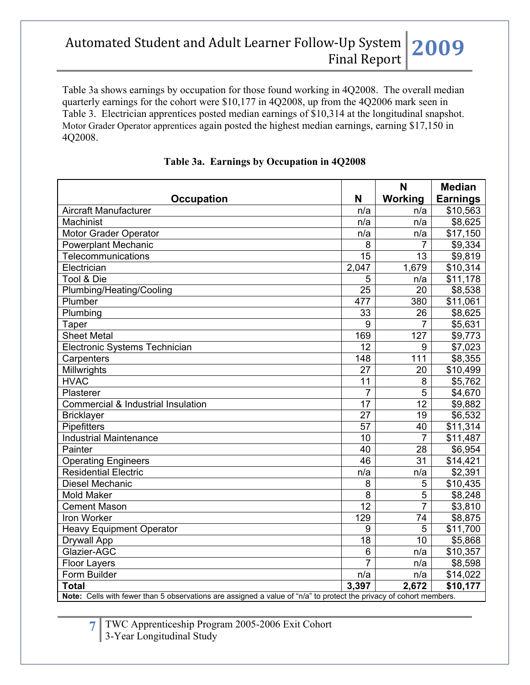Table 3a shows earnings by occupation for those found working in 4Q2008. The overall median quarterly earnings for the cohort were \$10,177 in 4Q2008, up from the 4Q2006 mark seen in Table 3. Electrician apprentices posted median earnings of \$10,314 at the longitudinal snapshot. Motor Grader Operator apprentices again posted the highest median earnings, earning \$17,150 in 4Q2008.

|                                                                                                                    |                 | N               | <b>Median</b>   |  |  |
|--------------------------------------------------------------------------------------------------------------------|-----------------|-----------------|-----------------|--|--|
| <b>Occupation</b>                                                                                                  | N               | Working         | <b>Earnings</b> |  |  |
| <b>Aircraft Manufacturer</b>                                                                                       | n/a             | n/a             | \$10,563        |  |  |
| Machinist                                                                                                          | n/a             | n/a             | \$8,625         |  |  |
| Motor Grader Operator                                                                                              | n/a             | n/a             | \$17,150        |  |  |
| <b>Powerplant Mechanic</b>                                                                                         | 8               |                 | \$9,334         |  |  |
| Telecommunications                                                                                                 | 15              | 13              | \$9,819         |  |  |
| Electrician                                                                                                        | 2,047           | 1,679           | \$10,314        |  |  |
| Tool & Die                                                                                                         | $\overline{5}$  | n/a             | \$11,178        |  |  |
| Plumbing/Heating/Cooling                                                                                           | 25              | 20              | \$8,538         |  |  |
| Plumber                                                                                                            | 477             | 380             | \$11,061        |  |  |
| Plumbing                                                                                                           | 33              | 26              | \$8,625         |  |  |
| Taper                                                                                                              | 9               | $\overline{7}$  | \$5,631         |  |  |
| <b>Sheet Metal</b>                                                                                                 | 169             | 127             | \$9,773         |  |  |
| Electronic Systems Technician                                                                                      | 12              | 9               | \$7,023         |  |  |
| Carpenters                                                                                                         | 148             | 111             | \$8,355         |  |  |
| Millwrights                                                                                                        | 27              | 20              | \$10,499        |  |  |
| <b>HVAC</b>                                                                                                        | 11              | 8               | \$5,762         |  |  |
| Plasterer                                                                                                          | $\overline{7}$  | $\overline{5}$  | \$4,670         |  |  |
| Commercial & Industrial Insulation                                                                                 | 17              | $\overline{12}$ | \$9,882         |  |  |
| <b>Bricklayer</b>                                                                                                  | $\overline{27}$ | 19              | \$6,532         |  |  |
| Pipefitters                                                                                                        | 57              | 40              | \$11,314        |  |  |
| <b>Industrial Maintenance</b>                                                                                      | 10              | $\overline{7}$  | \$11,487        |  |  |
| Painter                                                                                                            | 40              | 28              | \$6,954         |  |  |
| <b>Operating Engineers</b>                                                                                         | 46              | $\overline{31}$ | \$14,421        |  |  |
| Residential Electric                                                                                               | n/a             | n/a             | \$2,391         |  |  |
| Diesel Mechanic                                                                                                    | 8               | 5               | \$10,435        |  |  |
| <b>Mold Maker</b>                                                                                                  | $\overline{8}$  | $\overline{5}$  | \$8,248         |  |  |
| <b>Cement Mason</b>                                                                                                | $\overline{12}$ | $\overline{7}$  | \$3,810         |  |  |
| Iron Worker                                                                                                        | 129             | 74              | \$8,875         |  |  |
| <b>Heavy Equipment Operator</b>                                                                                    | 9               | 5               | \$11,700        |  |  |
| <b>Drywall App</b>                                                                                                 | 18              | 10              | \$5,868         |  |  |
| Glazier-AGC                                                                                                        | 6               | n/a             | \$10,357        |  |  |
| <b>Floor Layers</b>                                                                                                | $\overline{7}$  | n/a             | \$8,598         |  |  |
| Form Builder                                                                                                       | n/a             | n/a             | \$14,022        |  |  |
| <b>Total</b>                                                                                                       | 3,397           | 2,672           | \$10,177        |  |  |
| Note: Cells with fewer than 5 observations are assigned a value of "n/a" to protect the privacy of cohort members. |                 |                 |                 |  |  |

#### **Table 3a. Earnings by Occupation in 4Q2008**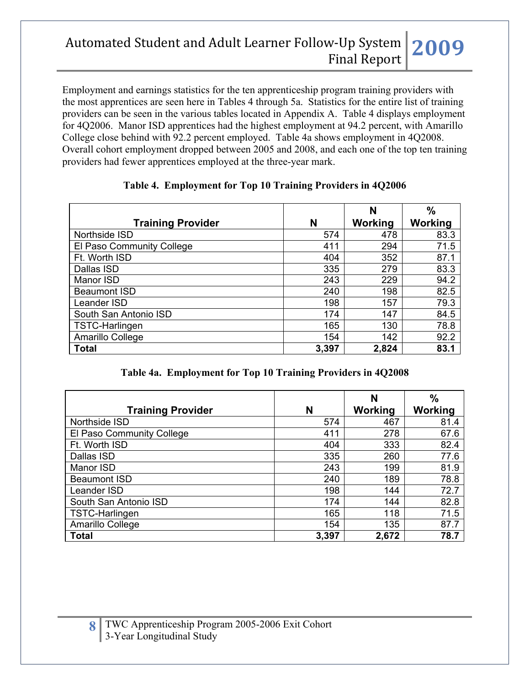Employment and earnings statistics for the ten apprenticeship program training providers with the most apprentices are seen here in Tables 4 through 5a. Statistics for the entire list of training providers can be seen in the various tables located in Appendix A. Table 4 displays employment for 4Q2006. Manor ISD apprentices had the highest employment at 94.2 percent, with Amarillo College close behind with 92.2 percent employed. Table 4a shows employment in 4Q2008. Overall cohort employment dropped between 2005 and 2008, and each one of the top ten training providers had fewer apprentices employed at the three-year mark.

|                           |       | N       | $\%$           |
|---------------------------|-------|---------|----------------|
| <b>Training Provider</b>  | N     | Working | <b>Working</b> |
| Northside ISD             | 574   | 478     | 83.3           |
| El Paso Community College | 411   | 294     | 71.5           |
| Ft. Worth ISD             | 404   | 352     | 87.1           |
| Dallas ISD                | 335   | 279     | 83.3           |
| Manor ISD                 | 243   | 229     | 94.2           |
| <b>Beaumont ISD</b>       | 240   | 198     | 82.5           |
| Leander ISD               | 198   | 157     | 79.3           |
| South San Antonio ISD     | 174   | 147     | 84.5           |
| TSTC-Harlingen            | 165   | 130     | 78.8           |
| Amarillo College          | 154   | 142     | 92.2           |
| <b>Total</b>              | 3,397 | 2,824   | 83.1           |

## **Table 4. Employment for Top 10 Training Providers in 4Q2006**

#### **Table 4a. Employment for Top 10 Training Providers in 4Q2008**

| <b>Training Provider</b>  | N     | N<br>Working | $\frac{9}{6}$<br>Working |
|---------------------------|-------|--------------|--------------------------|
| Northside ISD             | 574   | 467          | 81.4                     |
| El Paso Community College | 411   | 278          | 67.6                     |
| Ft. Worth ISD             | 404   | 333          | 82.4                     |
| Dallas ISD                | 335   | 260          | 77.6                     |
| Manor ISD                 | 243   | 199          | 81.9                     |
| <b>Beaumont ISD</b>       | 240   | 189          | 78.8                     |
| Leander ISD               | 198   | 144          | 72.7                     |
| South San Antonio ISD     | 174   | 144          | 82.8                     |
| TSTC-Harlingen            | 165   | 118          | 71.5                     |
| Amarillo College          | 154   | 135          | 87.7                     |
| <b>Total</b>              | 3,397 | 2,672        | 78.7                     |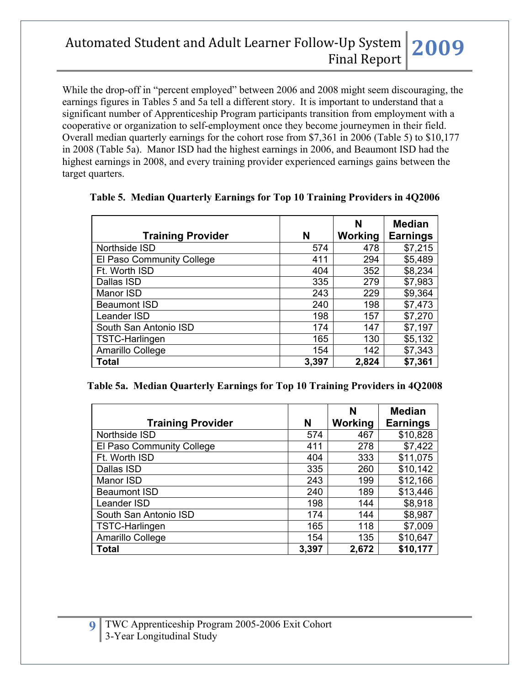While the drop-off in "percent employed" between 2006 and 2008 might seem discouraging, the earnings figures in Tables 5 and 5a tell a different story. It is important to understand that a significant number of Apprenticeship Program participants transition from employment with a cooperative or organization to self-employment once they become journeymen in their field. Overall median quarterly earnings for the cohort rose from \$7,361 in 2006 (Table 5) to \$10,177 in 2008 (Table 5a). Manor ISD had the highest earnings in 2006, and Beaumont ISD had the highest earnings in 2008, and every training provider experienced earnings gains between the target quarters.

|                           |       | N       | <b>Median</b>   |
|---------------------------|-------|---------|-----------------|
| <b>Training Provider</b>  | N     | Working | <b>Earnings</b> |
| Northside ISD             | 574   | 478     | \$7,215         |
| El Paso Community College | 411   | 294     | \$5,489         |
| Ft. Worth ISD             | 404   | 352     | \$8,234         |
| Dallas ISD                | 335   | 279     | \$7,983         |
| Manor ISD                 | 243   | 229     | \$9,364         |
| <b>Beaumont ISD</b>       | 240   | 198     | \$7,473         |
| Leander ISD               | 198   | 157     | \$7,270         |
| South San Antonio ISD     | 174   | 147     | \$7,197         |
| TSTC-Harlingen            | 165   | 130     | \$5,132         |
| Amarillo College          | 154   | 142     | \$7,343         |
| <b>Total</b>              | 3,397 | 2,824   | \$7,361         |

#### **Table 5. Median Quarterly Earnings for Top 10 Training Providers in 4Q2006**

| Table 5a. Median Quarterly Earnings for Top 10 Training Providers in 4Q2008 |  |  |  |
|-----------------------------------------------------------------------------|--|--|--|
|                                                                             |  |  |  |

| <b>Training Provider</b>  | N     | N<br>Working | <b>Median</b><br><b>Earnings</b> |
|---------------------------|-------|--------------|----------------------------------|
| Northside ISD             | 574   | 467          | \$10,828                         |
| El Paso Community College | 411   | 278          | \$7,422                          |
| Ft. Worth ISD             | 404   | 333          | \$11,075                         |
| Dallas ISD                | 335   | 260          | \$10,142                         |
| Manor ISD                 | 243   | 199          | \$12,166                         |
| <b>Beaumont ISD</b>       | 240   | 189          | \$13,446                         |
| Leander ISD               | 198   | 144          | \$8,918                          |
| South San Antonio ISD     | 174   | 144          | \$8,987                          |
| <b>TSTC-Harlingen</b>     | 165   | 118          | \$7,009                          |
| Amarillo College          | 154   | 135          | \$10,647                         |
| <b>Total</b>              | 3,397 | 2,672        | \$10,177                         |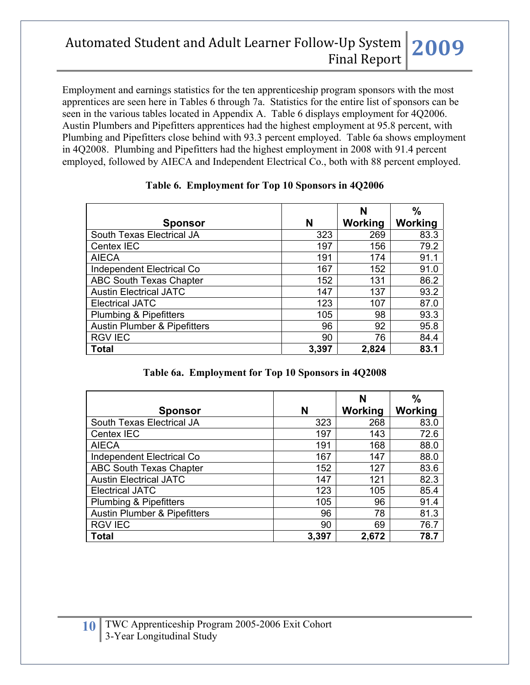Employment and earnings statistics for the ten apprenticeship program sponsors with the most apprentices are seen here in Tables 6 through 7a. Statistics for the entire list of sponsors can be seen in the various tables located in Appendix A. Table 6 displays employment for 4Q2006. Austin Plumbers and Pipefitters apprentices had the highest employment at 95.8 percent, with Plumbing and Pipefitters close behind with 93.3 percent employed. Table 6a shows employment in 4Q2008. Plumbing and Pipefitters had the highest employment in 2008 with 91.4 percent employed, followed by AIECA and Independent Electrical Co., both with 88 percent employed.

|                                         |       | N       | $\frac{0}{0}$ |
|-----------------------------------------|-------|---------|---------------|
| <b>Sponsor</b>                          | N     | Working | Working       |
| South Texas Electrical JA               | 323   | 269     | 83.3          |
| Centex IEC                              | 197   | 156     | 79.2          |
| <b>AIECA</b>                            | 191   | 174     | 91.1          |
| Independent Electrical Co               | 167   | 152     | 91.0          |
| ABC South Texas Chapter                 | 152   | 131     | 86.2          |
| <b>Austin Electrical JATC</b>           | 147   | 137     | 93.2          |
| <b>Electrical JATC</b>                  | 123   | 107     | 87.0          |
| <b>Plumbing &amp; Pipefitters</b>       | 105   | 98      | 93.3          |
| <b>Austin Plumber &amp; Pipefitters</b> | 96    | 92      | 95.8          |
| <b>RGV IEC</b>                          | 90    | 76      | 84.4          |
| <b>Total</b>                            | 3,397 | 2,824   | 83.1          |

#### **Table 6. Employment for Top 10 Sponsors in 4Q2006**

#### **Table 6a. Employment for Top 10 Sponsors in 4Q2008**

|                                         |       | N       | $\frac{9}{6}$ |
|-----------------------------------------|-------|---------|---------------|
| <b>Sponsor</b>                          | N     | Working | Working       |
| South Texas Electrical JA               | 323   | 268     | 83.0          |
| Centex IEC                              | 197   | 143     | 72.6          |
| <b>AIECA</b>                            | 191   | 168     | 88.0          |
| Independent Electrical Co               | 167   | 147     | 88.0          |
| <b>ABC South Texas Chapter</b>          | 152   | 127     | 83.6          |
| <b>Austin Electrical JATC</b>           | 147   | 121     | 82.3          |
| <b>Electrical JATC</b>                  | 123   | 105     | 85.4          |
| <b>Plumbing &amp; Pipefitters</b>       | 105   | 96      | 91.4          |
| <b>Austin Plumber &amp; Pipefitters</b> | 96    | 78      | 81.3          |
| <b>RGV IEC</b>                          | 90    | 69      | 76.7          |
| Total                                   | 3,397 | 2,672   | 78.7          |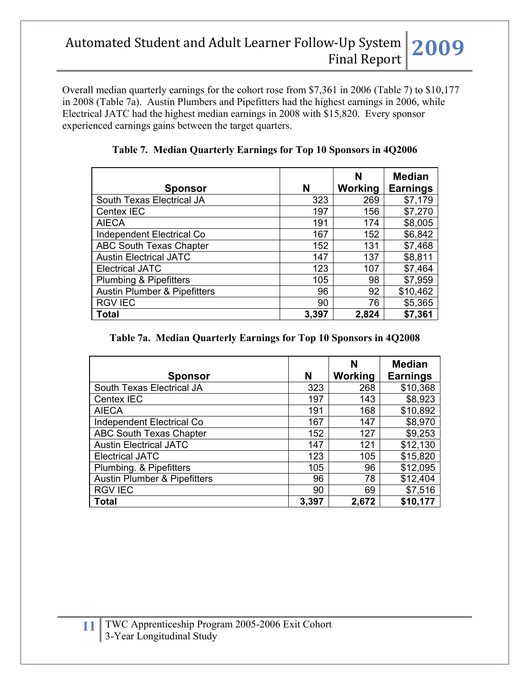Overall median quarterly earnings for the cohort rose from \$7,361 in 2006 (Table 7) to \$10,177 in 2008 (Table 7a). Austin Plumbers and Pipefitters had the highest earnings in 2006, while Electrical JATC had the highest median earnings in 2008 with \$15,820. Every sponsor experienced earnings gains between the target quarters.

|                                         |       | N       | <b>Median</b>   |
|-----------------------------------------|-------|---------|-----------------|
| <b>Sponsor</b>                          | N     | Working | <b>Earnings</b> |
| South Texas Electrical JA               | 323   | 269     | \$7,179         |
| Centex IEC                              | 197   | 156     | \$7,270         |
| <b>AIECA</b>                            | 191   | 174     | \$8,005         |
| Independent Electrical Co               | 167   | 152     | \$6,842         |
| <b>ABC South Texas Chapter</b>          | 152   | 131     | \$7,468         |
| <b>Austin Electrical JATC</b>           | 147   | 137     | \$8,811         |
| <b>Electrical JATC</b>                  | 123   | 107     | \$7,464         |
| <b>Plumbing &amp; Pipefitters</b>       | 105   | 98      | \$7,959         |
| <b>Austin Plumber &amp; Pipefitters</b> | 96    | 92      | \$10,462        |
| <b>RGV IEC</b>                          | 90    | 76      | \$5,365         |
| <b>Total</b>                            | 3,397 | 2,824   | \$7,361         |

**Table 7. Median Quarterly Earnings for Top 10 Sponsors in 4Q2006** 

|  |  |  | Table 7a. Median Quarterly Earnings for Top 10 Sponsors in 4Q2008 |  |  |  |
|--|--|--|-------------------------------------------------------------------|--|--|--|
|--|--|--|-------------------------------------------------------------------|--|--|--|

| <b>Sponsor</b>                          | N     | N<br>Working | <b>Median</b><br><b>Earnings</b> |
|-----------------------------------------|-------|--------------|----------------------------------|
| South Texas Electrical JA               | 323   | 268          | \$10,368                         |
| Centex IEC                              | 197   | 143          | \$8,923                          |
| <b>AIECA</b>                            | 191   | 168          | \$10,892                         |
| <b>Independent Electrical Co</b>        | 167   | 147          | \$8,970                          |
| <b>ABC South Texas Chapter</b>          | 152   | 127          | \$9,253                          |
| <b>Austin Electrical JATC</b>           | 147   | 121          | \$12,130                         |
| <b>Electrical JATC</b>                  | 123   | 105          | \$15,820                         |
| Plumbing. & Pipefitters                 | 105   | 96           | \$12,095                         |
| <b>Austin Plumber &amp; Pipefitters</b> | 96    | 78           | \$12,404                         |
| <b>RGV IEC</b>                          | 90    | 69           | \$7,516                          |
| <b>Total</b>                            | 3,397 | 2,672        | \$10,177                         |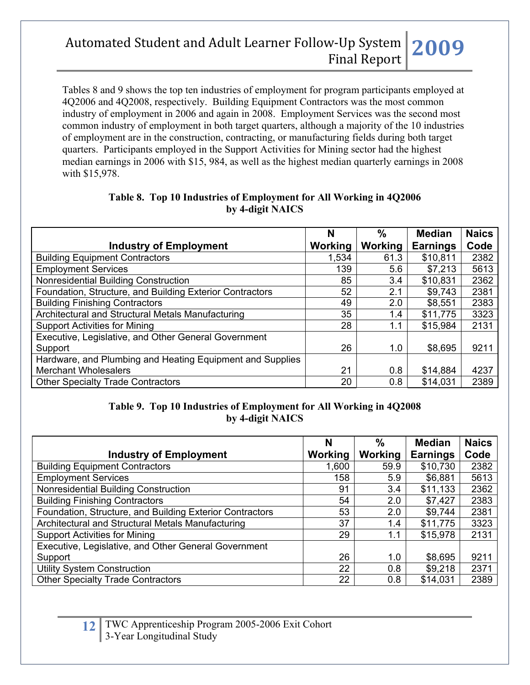Tables 8 and 9 shows the top ten industries of employment for program participants employed at 4Q2006 and 4Q2008, respectively. Building Equipment Contractors was the most common industry of employment in 2006 and again in 2008. Employment Services was the second most common industry of employment in both target quarters, although a majority of the 10 industries of employment are in the construction, contracting, or manufacturing fields during both target quarters. Participants employed in the Support Activities for Mining sector had the highest median earnings in 2006 with \$15, 984, as well as the highest median quarterly earnings in 2008 with \$15,978.

|                                                           | N       | %       | <b>Median</b>   | <b>Naics</b> |
|-----------------------------------------------------------|---------|---------|-----------------|--------------|
| <b>Industry of Employment</b>                             | Working | Working | <b>Earnings</b> | Code         |
| <b>Building Equipment Contractors</b>                     | 1,534   | 61.3    | \$10,811        | 2382         |
| <b>Employment Services</b>                                | 139     | 5.6     | \$7,213         | 5613         |
| Nonresidential Building Construction                      | 85      | 3.4     | \$10,831        | 2362         |
| Foundation, Structure, and Building Exterior Contractors  | 52      | 2.1     | \$9,743         | 2381         |
| <b>Building Finishing Contractors</b>                     | 49      | 2.0     | \$8,551         | 2383         |
| Architectural and Structural Metals Manufacturing         | 35      | 1.4     | \$11,775        | 3323         |
| <b>Support Activities for Mining</b>                      | 28      | 1.1     | \$15,984        | 2131         |
| Executive, Legislative, and Other General Government      |         |         |                 |              |
| Support                                                   | 26      | 1.0     | \$8,695         | 9211         |
| Hardware, and Plumbing and Heating Equipment and Supplies |         |         |                 |              |
| <b>Merchant Wholesalers</b>                               | 21      | 0.8     | \$14,884        | 4237         |
| <b>Other Specialty Trade Contractors</b>                  | 20      | 0.8     | \$14,031        | 2389         |

## **Table 8. Top 10 Industries of Employment for All Working in 4Q2006 by 4-digit NAICS**

#### **Table 9. Top 10 Industries of Employment for All Working in 4Q2008 by 4-digit NAICS**

|                                                          | N       | $\frac{0}{0}$ | <b>Median</b>   | <b>Naics</b> |
|----------------------------------------------------------|---------|---------------|-----------------|--------------|
| <b>Industry of Employment</b>                            | Working | Working       | <b>Earnings</b> | Code         |
| <b>Building Equipment Contractors</b>                    | 1,600   | 59.9          | \$10,730        | 2382         |
| <b>Employment Services</b>                               | 158     | 5.9           | \$6,881         | 5613         |
| Nonresidential Building Construction                     | 91      | 3.4           | \$11,133        | 2362         |
| <b>Building Finishing Contractors</b>                    | 54      | 2.0           | \$7,427         | 2383         |
| Foundation, Structure, and Building Exterior Contractors | 53      | 2.0           | \$9,744         | 2381         |
| Architectural and Structural Metals Manufacturing        | 37      | 1.4           | \$11,775        | 3323         |
| <b>Support Activities for Mining</b>                     | 29      | 1.1           | \$15,978        | 2131         |
| Executive, Legislative, and Other General Government     |         |               |                 |              |
| Support                                                  | 26      | 1.0           | \$8,695         | 9211         |
| <b>Utility System Construction</b>                       | 22      | 0.8           | \$9,218         | 2371         |
| <b>Other Specialty Trade Contractors</b>                 | 22      | 0.8           | \$14,031        | 2389         |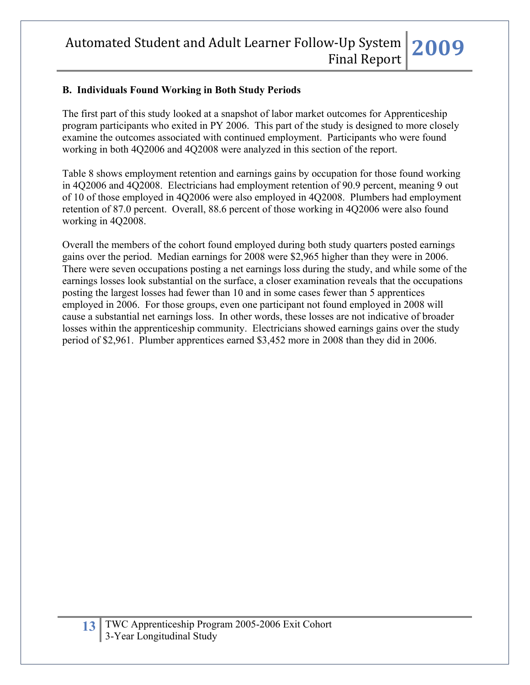## **B. Individuals Found Working in Both Study Periods**

The first part of this study looked at a snapshot of labor market outcomes for Apprenticeship program participants who exited in PY 2006. This part of the study is designed to more closely examine the outcomes associated with continued employment. Participants who were found working in both 4Q2006 and 4Q2008 were analyzed in this section of the report.

Table 8 shows employment retention and earnings gains by occupation for those found working in 4Q2006 and 4Q2008. Electricians had employment retention of 90.9 percent, meaning 9 out of 10 of those employed in 4Q2006 were also employed in 4Q2008. Plumbers had employment retention of 87.0 percent. Overall, 88.6 percent of those working in 4Q2006 were also found working in 4Q2008.

Overall the members of the cohort found employed during both study quarters posted earnings gains over the period. Median earnings for 2008 were \$2,965 higher than they were in 2006. There were seven occupations posting a net earnings loss during the study, and while some of the earnings losses look substantial on the surface, a closer examination reveals that the occupations posting the largest losses had fewer than 10 and in some cases fewer than 5 apprentices employed in 2006. For those groups, even one participant not found employed in 2008 will cause a substantial net earnings loss. In other words, these losses are not indicative of broader losses within the apprenticeship community. Electricians showed earnings gains over the study period of \$2,961. Plumber apprentices earned \$3,452 more in 2008 than they did in 2006.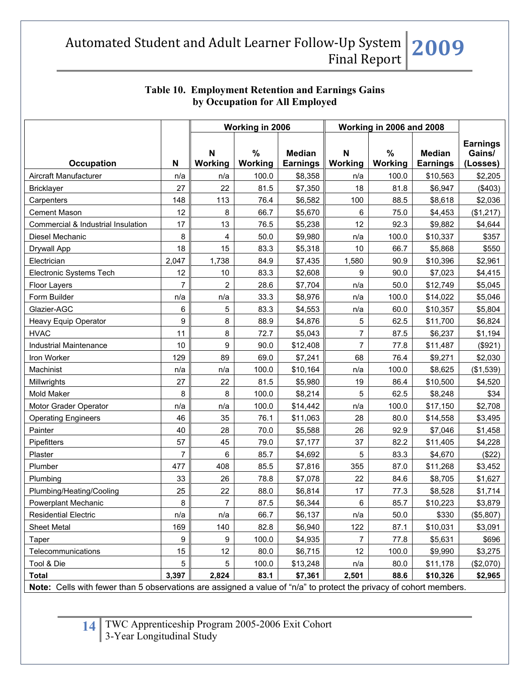|                                                                                                                    |                | Working in 2006  |                 |                                  | Working in 2006 and 2008 |              |                                  |                                       |
|--------------------------------------------------------------------------------------------------------------------|----------------|------------------|-----------------|----------------------------------|--------------------------|--------------|----------------------------------|---------------------------------------|
| <b>Occupation</b>                                                                                                  | N              | N<br>Working     | $\%$<br>Working | <b>Median</b><br><b>Earnings</b> | N<br>Working             | %<br>Working | <b>Median</b><br><b>Earnings</b> | <b>Earnings</b><br>Gains/<br>(Losses) |
| Aircraft Manufacturer                                                                                              | n/a            | n/a              | 100.0           | \$8,358                          | n/a                      | 100.0        | \$10,563                         | \$2,205                               |
| <b>Bricklayer</b>                                                                                                  | 27             | 22               | 81.5            | \$7,350                          | 18                       | 81.8         | \$6,947                          | (\$403)                               |
| Carpenters                                                                                                         | 148            | 113              | 76.4            | \$6,582                          | 100                      | 88.5         | \$8,618                          | \$2,036                               |
| <b>Cement Mason</b>                                                                                                | 12             | 8                | 66.7            | \$5,670                          | 6                        | 75.0         | \$4,453                          | (\$1,217)                             |
| Commercial & Industrial Insulation                                                                                 | 17             | 13               | 76.5            | \$5,238                          | 12                       | 92.3         | \$9,882                          | \$4,644                               |
| Diesel Mechanic                                                                                                    | 8              | 4                | 50.0            | \$9,980                          | n/a                      | 100.0        | \$10,337                         | \$357                                 |
| Drywall App                                                                                                        | 18             | 15               | 83.3            | \$5,318                          | 10                       | 66.7         | \$5,868                          | \$550                                 |
| Electrician                                                                                                        | 2,047          | 1,738            | 84.9            | \$7,435                          | 1,580                    | 90.9         | \$10,396                         | \$2,961                               |
| Electronic Systems Tech                                                                                            | 12             | 10               | 83.3            | \$2,608                          | 9                        | 90.0         | \$7,023                          | \$4,415                               |
| Floor Layers                                                                                                       | $\overline{7}$ | $\overline{c}$   | 28.6            | \$7,704                          | n/a                      | 50.0         | \$12,749                         | \$5,045                               |
| Form Builder                                                                                                       | n/a            | n/a              | 33.3            | \$8,976                          | n/a                      | 100.0        | \$14,022                         | \$5,046                               |
| Glazier-AGC                                                                                                        | 6              | 5                | 83.3            | \$4,553                          | n/a                      | 60.0         | \$10,357                         | \$5,804                               |
| Heavy Equip Operator                                                                                               | 9              | 8                | 88.9            | \$4,876                          | 5                        | 62.5         | \$11,700                         | \$6,824                               |
| <b>HVAC</b>                                                                                                        | 11             | 8                | 72.7            | \$5,043                          | $\overline{7}$           | 87.5         | \$6,237                          | \$1,194                               |
| <b>Industrial Maintenance</b>                                                                                      | 10             | 9                | 90.0            | \$12,408                         | $\overline{7}$           | 77.8         | \$11,487                         | (\$921)                               |
| Iron Worker                                                                                                        | 129            | 89               | 69.0            | \$7,241                          | 68                       | 76.4         | \$9,271                          | \$2,030                               |
| Machinist                                                                                                          | n/a            | n/a              | 100.0           | \$10,164                         | n/a                      | 100.0        | \$8,625                          | (\$1,539)                             |
| Millwrights                                                                                                        | 27             | 22               | 81.5            | \$5,980                          | 19                       | 86.4         | \$10,500                         | \$4,520                               |
| Mold Maker                                                                                                         | 8              | 8                | 100.0           | \$8,214                          | 5                        | 62.5         | \$8,248                          | \$34                                  |
| Motor Grader Operator                                                                                              | n/a            | n/a              | 100.0           | \$14,442                         | n/a                      | 100.0        | \$17,150                         | \$2,708                               |
| <b>Operating Engineers</b>                                                                                         | 46             | 35               | 76.1            | \$11,063                         | 28                       | 80.0         | \$14,558                         | \$3,495                               |
| Painter                                                                                                            | 40             | 28               | 70.0            | \$5,588                          | 26                       | 92.9         | \$7,046                          | \$1,458                               |
| Pipefitters                                                                                                        | 57             | 45               | 79.0            | \$7,177                          | 37                       | 82.2         | \$11,405                         | \$4,228                               |
| Plaster                                                                                                            | 7              | 6                | 85.7            | \$4,692                          | 5                        | 83.3         | \$4,670                          | (\$22)                                |
| Plumber                                                                                                            | 477            | 408              | 85.5            | \$7,816                          | 355                      | 87.0         | \$11,268                         | \$3,452                               |
| Plumbing                                                                                                           | 33             | 26               | 78.8            | \$7,078                          | 22                       | 84.6         | \$8,705                          | \$1,627                               |
| Plumbing/Heating/Cooling                                                                                           | 25             | 22               | 88.0            | \$6,814                          | 17                       | 77.3         | \$8,528                          | \$1,714                               |
| <b>Powerplant Mechanic</b>                                                                                         | 8              | $\overline{7}$   | 87.5            | \$6,344                          | $\,6\,$                  | 85.7         | \$10,223                         | \$3,879                               |
| <b>Residential Electric</b>                                                                                        | n/a            | n/a              | 66.7            | \$6,137                          | n/a                      | 50.0         | \$330                            | (\$5,807)                             |
| Sheet Metal                                                                                                        | 169            | 140              | 82.8            | \$6,940                          | 122                      | 87.1         | \$10,031                         | \$3,091                               |
| Taper                                                                                                              | 9              | $\boldsymbol{9}$ | 100.0           | \$4,935                          | $\overline{7}$           | 77.8         | \$5,631                          | \$696                                 |
| Telecommunications                                                                                                 | 15             | 12               | 80.0            | \$6,715                          | 12                       | 100.0        | \$9,990                          | \$3,275                               |
| Tool & Die                                                                                                         | 5              | 5                | 100.0           | \$13,248                         | n/a                      | 80.0         | \$11,178                         | (\$2,070)                             |
| <b>Total</b>                                                                                                       | 3,397          | 2,824            | 83.1            | \$7,361                          | 2,501                    | 88.6         | \$10,326                         | \$2,965                               |
| Note: Cells with fewer than 5 observations are assigned a value of "n/a" to protect the privacy of cohort members. |                |                  |                 |                                  |                          |              |                                  |                                       |

## **Table 10. Employment Retention and Earnings Gains by Occupation for All Employed**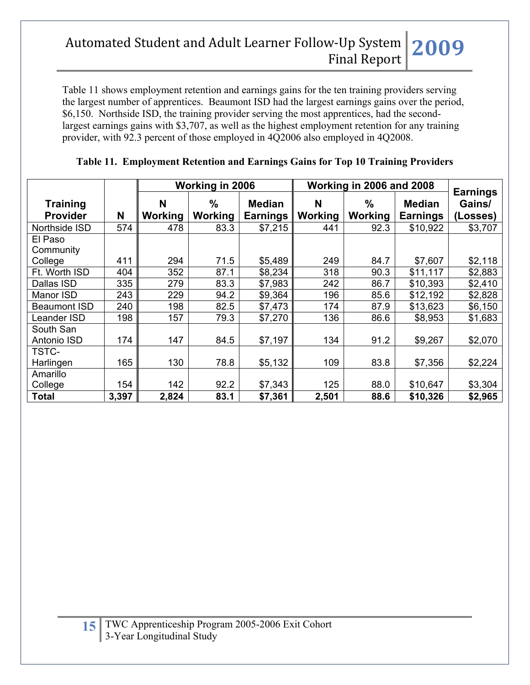Table 11 shows employment retention and earnings gains for the ten training providers serving the largest number of apprentices. Beaumont ISD had the largest earnings gains over the period, \$6,150. Northside ISD, the training provider serving the most apprentices, had the secondlargest earnings gains with \$3,707, as well as the highest employment retention for any training provider, with 92.3 percent of those employed in 4Q2006 also employed in 4Q2008.

|                                    |       | Working in 2006     |                 |                                  | Working in 2006 and 2008 |                        |                                  | <b>Earnings</b>    |
|------------------------------------|-------|---------------------|-----------------|----------------------------------|--------------------------|------------------------|----------------------------------|--------------------|
| <b>Training</b><br><b>Provider</b> | N     | N<br><b>Working</b> | $\%$<br>Working | <b>Median</b><br><b>Earnings</b> | N<br>Working             | $\%$<br><b>Working</b> | <b>Median</b><br><b>Earnings</b> | Gains/<br>(Losses) |
| Northside ISD                      | 574   | 478                 | 83.3            | \$7,215                          | 441                      | 92.3                   | \$10,922                         | \$3,707            |
| El Paso<br>Community               |       |                     |                 |                                  |                          |                        |                                  |                    |
| College                            | 411   | 294                 | 71.5            | \$5,489                          | 249                      | 84.7                   | \$7,607                          | \$2,118            |
| Ft. Worth ISD                      | 404   | 352                 | 87.1            | \$8,234                          | 318                      | 90.3                   | \$11,117                         | \$2,883            |
| Dallas ISD                         | 335   | 279                 | 83.3            | \$7,983                          | 242                      | 86.7                   | \$10,393                         | \$2,410            |
| Manor ISD                          | 243   | 229                 | 94.2            | \$9,364                          | 196                      | 85.6                   | \$12,192                         | \$2,828            |
| <b>Beaumont ISD</b>                | 240   | 198                 | 82.5            | \$7,473                          | 174                      | 87.9                   | \$13,623                         | \$6,150            |
| Leander ISD                        | 198   | 157                 | 79.3            | \$7,270                          | 136                      | 86.6                   | \$8,953                          | \$1,683            |
| South San<br>Antonio ISD           | 174   | 147                 | 84.5            | \$7,197                          | 134                      | 91.2                   | \$9,267                          | \$2,070            |
| TSTC-                              |       |                     |                 |                                  |                          |                        |                                  |                    |
| Harlingen                          | 165   | 130                 | 78.8            | \$5,132                          | 109                      | 83.8                   | \$7,356                          | \$2,224            |
| Amarillo                           |       |                     |                 |                                  |                          |                        |                                  |                    |
| College                            | 154   | 142                 | 92.2            | \$7,343                          | 125                      | 88.0                   | \$10,647                         | \$3,304            |
| <b>Total</b>                       | 3,397 | 2,824               | 83.1            | \$7,361                          | 2,501                    | 88.6                   | \$10,326                         | \$2,965            |

#### **Table 11. Employment Retention and Earnings Gains for Top 10 Training Providers**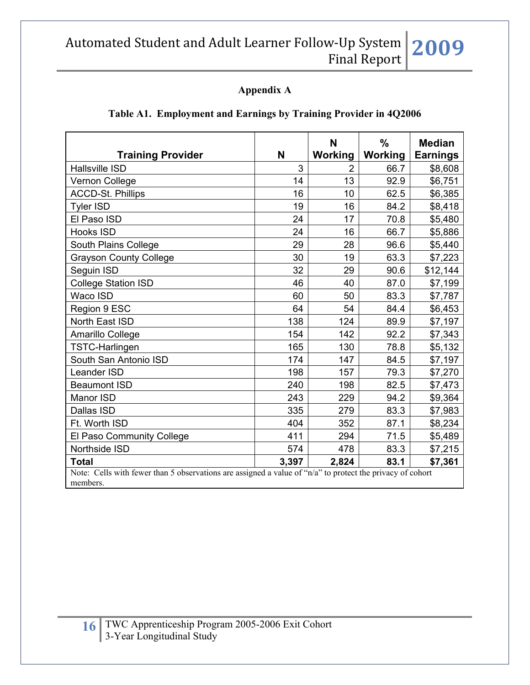## **Appendix A**

## **Table A1. Employment and Earnings by Training Provider in 4Q2006**

| <b>Training Provider</b>                                                                                              | N     | N<br>Working   | $\frac{0}{0}$<br>Working | <b>Median</b><br><b>Earnings</b> |
|-----------------------------------------------------------------------------------------------------------------------|-------|----------------|--------------------------|----------------------------------|
| <b>Hallsville ISD</b>                                                                                                 | 3     | $\overline{2}$ | 66.7                     | \$8,608                          |
| Vernon College                                                                                                        | 14    | 13             | 92.9                     | \$6,751                          |
| <b>ACCD-St. Phillips</b>                                                                                              | 16    | 10             | 62.5                     | \$6,385                          |
| Tyler ISD                                                                                                             | 19    | 16             | 84.2                     | \$8,418                          |
| El Paso ISD                                                                                                           | 24    | 17             | 70.8                     | \$5,480                          |
| <b>Hooks ISD</b>                                                                                                      | 24    | 16             | 66.7                     | \$5,886                          |
| South Plains College                                                                                                  | 29    | 28             | 96.6                     | \$5,440                          |
| <b>Grayson County College</b>                                                                                         | 30    | 19             | 63.3                     | \$7,223                          |
| Seguin ISD                                                                                                            | 32    | 29             | 90.6                     | \$12,144                         |
| <b>College Station ISD</b>                                                                                            | 46    | 40             | 87.0                     | \$7,199                          |
| Waco ISD                                                                                                              | 60    | 50             | 83.3                     | \$7,787                          |
| Region 9 ESC                                                                                                          | 64    | 54             | 84.4                     | \$6,453                          |
| North East ISD                                                                                                        | 138   | 124            | 89.9                     | \$7,197                          |
| Amarillo College                                                                                                      | 154   | 142            | 92.2                     | \$7,343                          |
| TSTC-Harlingen                                                                                                        | 165   | 130            | 78.8                     | \$5,132                          |
| South San Antonio ISD                                                                                                 | 174   | 147            | 84.5                     | \$7,197                          |
| Leander ISD                                                                                                           | 198   | 157            | 79.3                     | \$7,270                          |
| <b>Beaumont ISD</b>                                                                                                   | 240   | 198            | 82.5                     | \$7,473                          |
| Manor ISD                                                                                                             | 243   | 229            | 94.2                     | \$9,364                          |
| Dallas ISD                                                                                                            | 335   | 279            | 83.3                     | \$7,983                          |
| Ft. Worth ISD                                                                                                         | 404   | 352            | 87.1                     | \$8,234                          |
| El Paso Community College                                                                                             | 411   | 294            | 71.5                     | \$5,489                          |
| Northside ISD                                                                                                         | 574   | 478            | 83.3                     | \$7,215                          |
| <b>Total</b>                                                                                                          | 3,397 | 2,824          | 83.1                     | \$7,361                          |
| Note: Cells with fewer than 5 observations are assigned a value of "n/a" to protect the privacy of cohort<br>members. |       |                |                          |                                  |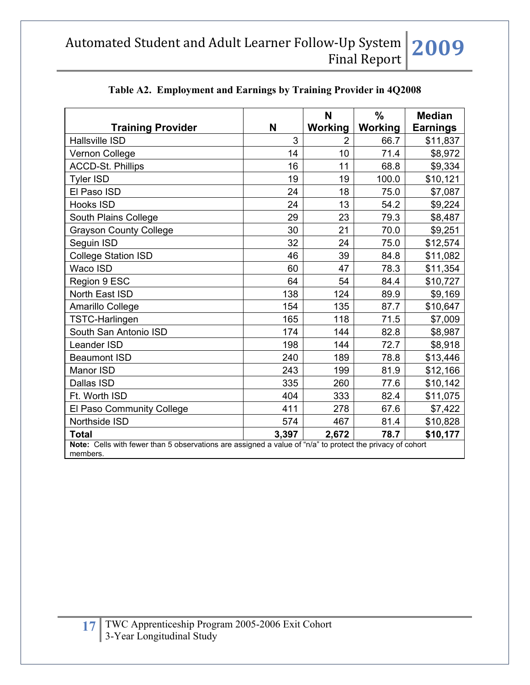|                                                                                                                       |       | N             | $\%$           | <b>Median</b>   |
|-----------------------------------------------------------------------------------------------------------------------|-------|---------------|----------------|-----------------|
| <b>Training Provider</b>                                                                                              | N     | Working       | <b>Working</b> | <b>Earnings</b> |
| <b>Hallsville ISD</b>                                                                                                 | 3     | $\mathcal{P}$ | 66.7           | \$11,837        |
| Vernon College                                                                                                        | 14    | 10            | 71.4           | \$8,972         |
| <b>ACCD-St. Phillips</b>                                                                                              | 16    | 11            | 68.8           | \$9,334         |
| <b>Tyler ISD</b>                                                                                                      | 19    | 19            | 100.0          | \$10,121        |
| El Paso ISD                                                                                                           | 24    | 18            | 75.0           | \$7,087         |
| <b>Hooks ISD</b>                                                                                                      | 24    | 13            | 54.2           | \$9,224         |
| South Plains College                                                                                                  | 29    | 23            | 79.3           | \$8,487         |
| <b>Grayson County College</b>                                                                                         | 30    | 21            | 70.0           | \$9,251         |
| Seguin ISD                                                                                                            | 32    | 24            | 75.0           | \$12,574        |
| <b>College Station ISD</b>                                                                                            | 46    | 39            | 84.8           | \$11,082        |
| Waco ISD                                                                                                              | 60    | 47            | 78.3           | \$11,354        |
| Region 9 ESC                                                                                                          | 64    | 54            | 84.4           | \$10,727        |
| North East ISD                                                                                                        | 138   | 124           | 89.9           | \$9,169         |
| Amarillo College                                                                                                      | 154   | 135           | 87.7           | \$10,647        |
| TSTC-Harlingen                                                                                                        | 165   | 118           | 71.5           | \$7,009         |
| South San Antonio ISD                                                                                                 | 174   | 144           | 82.8           | \$8,987         |
| Leander ISD                                                                                                           | 198   | 144           | 72.7           | \$8,918         |
| <b>Beaumont ISD</b>                                                                                                   | 240   | 189           | 78.8           | \$13,446        |
| Manor ISD                                                                                                             | 243   | 199           | 81.9           | \$12,166        |
| Dallas ISD                                                                                                            | 335   | 260           | 77.6           | \$10,142        |
| Ft. Worth ISD                                                                                                         | 404   | 333           | 82.4           | \$11,075        |
| El Paso Community College                                                                                             | 411   | 278           | 67.6           | \$7,422         |
| Northside ISD                                                                                                         | 574   | 467           | 81.4           | \$10,828        |
| <b>Total</b>                                                                                                          | 3,397 | 2,672         | 78.7           | \$10,177        |
| Note: Cells with fewer than 5 observations are assigned a value of "n/a" to protect the privacy of cohort<br>members. |       |               |                |                 |

#### **Table A2. Employment and Earnings by Training Provider in 4Q2008**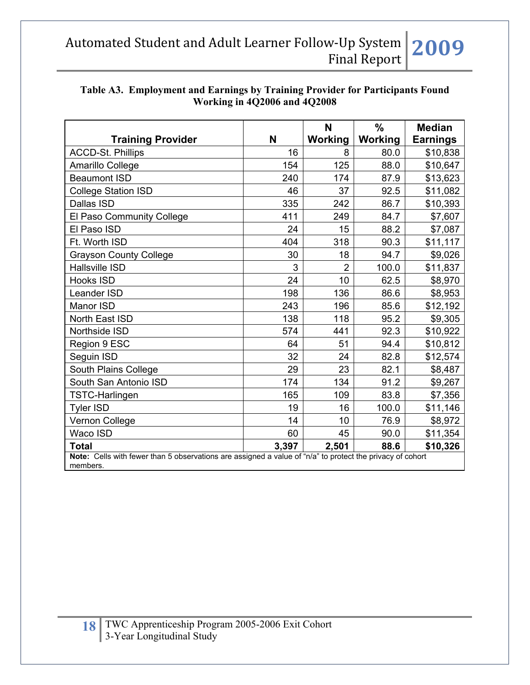| Table A3. Employment and Earnings by Training Provider for Participants Found |  |  |  |  |  |
|-------------------------------------------------------------------------------|--|--|--|--|--|
| Working in 4Q2006 and 4Q2008                                                  |  |  |  |  |  |
|                                                                               |  |  |  |  |  |

|                                                                                                                       |       | N              | $\frac{0}{0}$ | <b>Median</b>   |  |  |  |
|-----------------------------------------------------------------------------------------------------------------------|-------|----------------|---------------|-----------------|--|--|--|
| <b>Training Provider</b>                                                                                              | N     | Working        | Working       | <b>Earnings</b> |  |  |  |
| <b>ACCD-St. Phillips</b>                                                                                              | 16    | 8              | 80.0          | \$10,838        |  |  |  |
| Amarillo College                                                                                                      | 154   | 125            | 88.0          | \$10,647        |  |  |  |
| <b>Beaumont ISD</b>                                                                                                   | 240   | 174            | 87.9          | \$13,623        |  |  |  |
| <b>College Station ISD</b>                                                                                            | 46    | 37             | 92.5          | \$11,082        |  |  |  |
| Dallas ISD                                                                                                            | 335   | 242            | 86.7          | \$10,393        |  |  |  |
| El Paso Community College                                                                                             | 411   | 249            | 84.7          | \$7,607         |  |  |  |
| El Paso ISD                                                                                                           | 24    | 15             | 88.2          | \$7,087         |  |  |  |
| Ft. Worth ISD                                                                                                         | 404   | 318            | 90.3          | \$11,117        |  |  |  |
| <b>Grayson County College</b>                                                                                         | 30    | 18             | 94.7          | \$9,026         |  |  |  |
| <b>Hallsville ISD</b>                                                                                                 | 3     | $\overline{2}$ | 100.0         | \$11,837        |  |  |  |
| Hooks ISD                                                                                                             | 24    | 10             | 62.5          | \$8,970         |  |  |  |
| Leander ISD                                                                                                           | 198   | 136            | 86.6          | \$8,953         |  |  |  |
| Manor ISD                                                                                                             | 243   | 196            | 85.6          | \$12,192        |  |  |  |
| North East ISD                                                                                                        | 138   | 118            | 95.2          | \$9,305         |  |  |  |
| Northside ISD                                                                                                         | 574   | 441            | 92.3          | \$10,922        |  |  |  |
| Region 9 ESC                                                                                                          | 64    | 51             | 94.4          | \$10,812        |  |  |  |
| Seguin ISD                                                                                                            | 32    | 24             | 82.8          | \$12,574        |  |  |  |
| South Plains College                                                                                                  | 29    | 23             | 82.1          | \$8,487         |  |  |  |
| South San Antonio ISD                                                                                                 | 174   | 134            | 91.2          | \$9,267         |  |  |  |
| <b>TSTC-Harlingen</b>                                                                                                 | 165   | 109            | 83.8          | \$7,356         |  |  |  |
| <b>Tyler ISD</b>                                                                                                      | 19    | 16             | 100.0         | \$11,146        |  |  |  |
| Vernon College                                                                                                        | 14    | 10             | 76.9          | \$8,972         |  |  |  |
| Waco ISD                                                                                                              | 60    | 45             | 90.0          | \$11,354        |  |  |  |
| <b>Total</b>                                                                                                          | 3,397 | 2,501          | 88.6          | \$10,326        |  |  |  |
| Note: Cells with fewer than 5 observations are assigned a value of "n/a" to protect the privacy of cohort<br>members. |       |                |               |                 |  |  |  |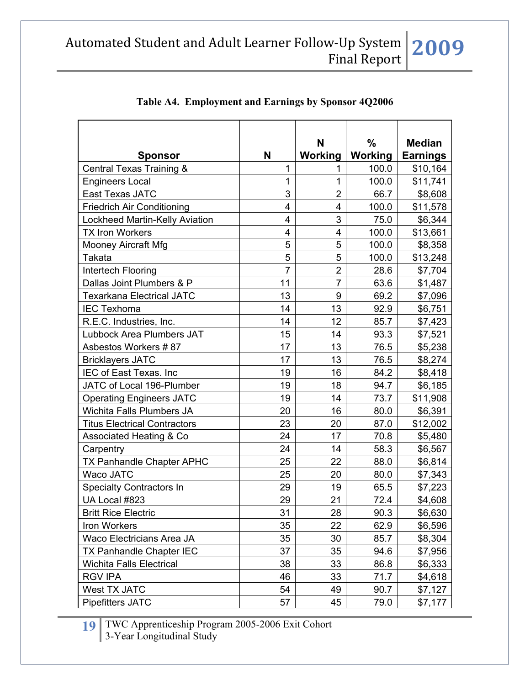| <b>Sponsor</b>                      | N              | N<br>Working   | $\frac{0}{0}$<br>Working | <b>Median</b><br><b>Earnings</b> |
|-------------------------------------|----------------|----------------|--------------------------|----------------------------------|
| Central Texas Training &            | 1              | 1              | 100.0                    | \$10,164                         |
| <b>Engineers Local</b>              | 1              | 1              | 100.0                    | \$11,741                         |
| East Texas JATC                     | 3              | $\overline{2}$ | 66.7                     | \$8,608                          |
| <b>Friedrich Air Conditioning</b>   | $\overline{4}$ | 4              | 100.0                    | \$11,578                         |
| Lockheed Martin-Kelly Aviation      | 4              | 3              | 75.0                     | \$6,344                          |
| <b>TX Iron Workers</b>              | 4              | 4              | 100.0                    | \$13,661                         |
| <b>Mooney Aircraft Mfg</b>          | 5              | 5              | 100.0                    | \$8,358                          |
| Takata                              | 5              | 5              | 100.0                    | \$13,248                         |
| Intertech Flooring                  | $\overline{7}$ | $\overline{2}$ | 28.6                     | \$7,704                          |
| Dallas Joint Plumbers & P           | 11             | $\overline{7}$ | 63.6                     | \$1,487                          |
| <b>Texarkana Electrical JATC</b>    | 13             | 9              | 69.2                     | \$7,096                          |
| <b>IEC Texhoma</b>                  | 14             | 13             | 92.9                     | \$6,751                          |
| R.E.C. Industries, Inc.             | 14             | 12             | 85.7                     | \$7,423                          |
| Lubbock Area Plumbers JAT           | 15             | 14             | 93.3                     | \$7,521                          |
| Asbestos Workers #87                | 17             | 13             | 76.5                     | \$5,238                          |
| <b>Bricklayers JATC</b>             | 17             | 13             | 76.5                     | \$8,274                          |
| IEC of East Texas. Inc              | 19             | 16             | 84.2                     | \$8,418                          |
| JATC of Local 196-Plumber           | 19             | 18             | 94.7                     | \$6,185                          |
| <b>Operating Engineers JATC</b>     | 19             | 14             | 73.7                     | \$11,908                         |
| Wichita Falls Plumbers JA           | 20             | 16             | 80.0                     | \$6,391                          |
| <b>Titus Electrical Contractors</b> | 23             | 20             | 87.0                     | \$12,002                         |
| <b>Associated Heating &amp; Co</b>  | 24             | 17             | 70.8                     | \$5,480                          |
| Carpentry                           | 24             | 14             | 58.3                     | \$6,567                          |
| TX Panhandle Chapter APHC           | 25             | 22             | 88.0                     | \$6,814                          |
| Waco JATC                           | 25             | 20             | 80.0                     | \$7,343                          |
| <b>Specialty Contractors In</b>     | 29             | 19             | 65.5                     | \$7,223                          |
| UA Local #823                       | 29             | 21             | 72.4                     | \$4,608                          |
| <b>Britt Rice Electric</b>          | 31             | 28             | 90.3                     | \$6,630                          |
| Iron Workers                        | 35             | 22             | 62.9                     | \$6,596                          |
| Waco Electricians Area JA           | 35             | 30             | 85.7                     | \$8,304                          |
| TX Panhandle Chapter IEC            | 37             | 35             | 94.6                     | \$7,956                          |
| <b>Wichita Falls Electrical</b>     | 38             | 33             | 86.8                     | \$6,333                          |
| <b>RGV IPA</b>                      | 46             | 33             | 71.7                     | \$4,618                          |
| <b>West TX JATC</b>                 | 54             | 49             | 90.7                     | \$7,127                          |
| Pipefitters JATC                    | 57             | 45             | 79.0                     | \$7,177                          |

## **Table A4. Employment and Earnings by Sponsor 4Q2006**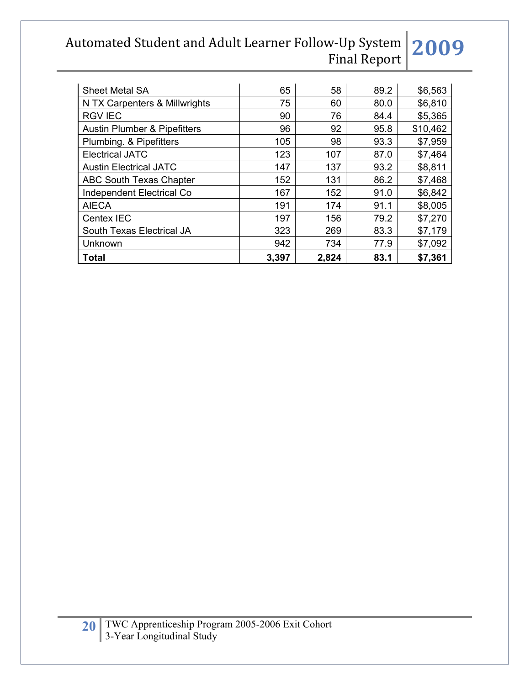| <b>Sheet Metal SA</b>                   | 65    | 58    | 89.2 | \$6,563  |
|-----------------------------------------|-------|-------|------|----------|
| N TX Carpenters & Millwrights           | 75    | 60    | 80.0 | \$6,810  |
| <b>RGV IEC</b>                          | 90    | 76    | 84.4 | \$5,365  |
| <b>Austin Plumber &amp; Pipefitters</b> | 96    | 92    | 95.8 | \$10,462 |
| Plumbing. & Pipefitters                 | 105   | 98    | 93.3 | \$7,959  |
| <b>Electrical JATC</b>                  | 123   | 107   | 87.0 | \$7,464  |
| <b>Austin Electrical JATC</b>           | 147   | 137   | 93.2 | \$8,811  |
| <b>ABC South Texas Chapter</b>          | 152   | 131   | 86.2 | \$7,468  |
| Independent Electrical Co               | 167   | 152   | 91.0 | \$6,842  |
| <b>AIECA</b>                            | 191   | 174   | 91.1 | \$8,005  |
| Centex IEC                              | 197   | 156   | 79.2 | \$7,270  |
| South Texas Electrical JA               | 323   | 269   | 83.3 | \$7,179  |
| Unknown                                 | 942   | 734   | 77.9 | \$7,092  |
| <b>Total</b>                            | 3,397 | 2,824 | 83.1 | \$7,361  |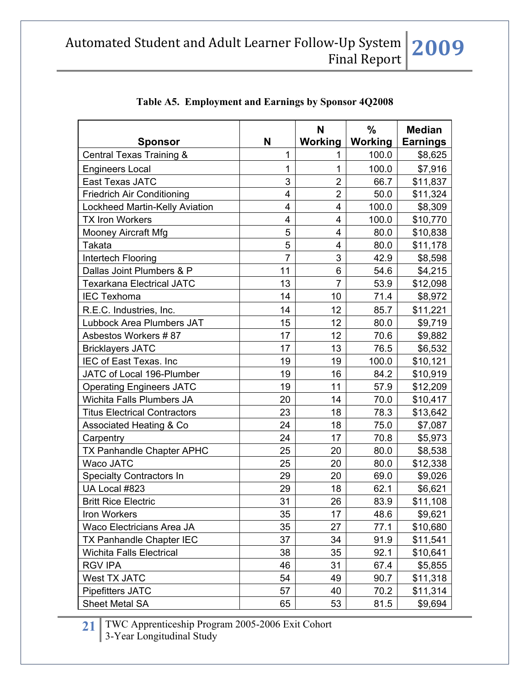|                                     |                | N              | $\%$    | <b>Median</b>   |
|-------------------------------------|----------------|----------------|---------|-----------------|
| <b>Sponsor</b>                      | N              | Working        | Working | <b>Earnings</b> |
| Central Texas Training &            | 1              | 1              | 100.0   | \$8,625         |
| <b>Engineers Local</b>              | 1              | 1              | 100.0   | \$7,916         |
| East Texas JATC                     | 3              | $\overline{2}$ | 66.7    | \$11,837        |
| <b>Friedrich Air Conditioning</b>   | 4              | $\overline{2}$ | 50.0    | \$11,324        |
| Lockheed Martin-Kelly Aviation      | 4              | 4              | 100.0   | \$8,309         |
| <b>TX Iron Workers</b>              | 4              | 4              | 100.0   | \$10,770        |
| <b>Mooney Aircraft Mfg</b>          | 5              | 4              | 80.0    | \$10,838        |
| Takata                              | 5              | 4              | 80.0    | \$11,178        |
| Intertech Flooring                  | $\overline{7}$ | 3              | 42.9    | \$8,598         |
| Dallas Joint Plumbers & P           | 11             | 6              | 54.6    | \$4,215         |
| <b>Texarkana Electrical JATC</b>    | 13             | $\overline{7}$ | 53.9    | \$12,098        |
| <b>IEC Texhoma</b>                  | 14             | 10             | 71.4    | \$8,972         |
| R.E.C. Industries, Inc.             | 14             | 12             | 85.7    | \$11,221        |
| Lubbock Area Plumbers JAT           | 15             | 12             | 80.0    | \$9,719         |
| Asbestos Workers #87                | 17             | 12             | 70.6    | \$9,882         |
| <b>Bricklayers JATC</b>             | 17             | 13             | 76.5    | \$6,532         |
| IEC of East Texas. Inc              | 19             | 19             | 100.0   | \$10,121        |
| JATC of Local 196-Plumber           | 19             | 16             | 84.2    | \$10,919        |
| <b>Operating Engineers JATC</b>     | 19             | 11             | 57.9    | \$12,209        |
| Wichita Falls Plumbers JA           | 20             | 14             | 70.0    | \$10,417        |
| <b>Titus Electrical Contractors</b> | 23             | 18             | 78.3    | \$13,642        |
| Associated Heating & Co             | 24             | 18             | 75.0    | \$7,087         |
| Carpentry                           | 24             | 17             | 70.8    | \$5,973         |
| <b>TX Panhandle Chapter APHC</b>    | 25             | 20             | 80.0    | \$8,538         |
| Waco JATC                           | 25             | 20             | 80.0    | \$12,338        |
| <b>Specialty Contractors In</b>     | 29             | 20             | 69.0    | \$9,026         |
| UA Local #823                       | 29             | 18             | 62.1    | \$6,621         |
| <b>Britt Rice Electric</b>          | 31             | 26             | 83.9    | \$11,108        |
| Iron Workers                        | 35             | 17             | 48.6    | \$9,621         |
| Waco Electricians Area JA           | 35             | 27             | 77.1    | \$10,680        |
| TX Panhandle Chapter IEC            | 37             | 34             | 91.9    | \$11,541        |
| <b>Wichita Falls Electrical</b>     | 38             | 35             | 92.1    | \$10,641        |
| <b>RGV IPA</b>                      | 46             | 31             | 67.4    | \$5,855         |
| West TX JATC                        | 54             | 49             | 90.7    | \$11,318        |
| <b>Pipefitters JATC</b>             | 57             | 40             | 70.2    | \$11,314        |
| Sheet Metal SA                      | 65             | 53             | 81.5    | \$9,694         |

## **Table A5. Employment and Earnings by Sponsor 4Q2008**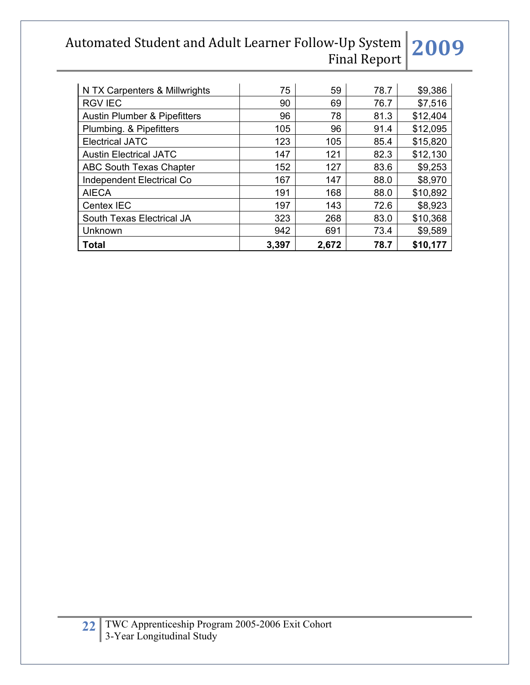| N TX Carpenters & Millwrights           | 75    | 59    | 78.7 | \$9,386  |
|-----------------------------------------|-------|-------|------|----------|
| <b>RGV IEC</b>                          | 90    | 69    | 76.7 | \$7,516  |
| <b>Austin Plumber &amp; Pipefitters</b> | 96    | 78    | 81.3 | \$12,404 |
| Plumbing. & Pipefitters                 | 105   | 96    | 91.4 | \$12,095 |
| <b>Electrical JATC</b>                  | 123   | 105   | 85.4 | \$15,820 |
| <b>Austin Electrical JATC</b>           | 147   | 121   | 82.3 | \$12,130 |
| <b>ABC South Texas Chapter</b>          | 152   | 127   | 83.6 | \$9,253  |
| <b>Independent Electrical Co</b>        | 167   | 147   | 88.0 | \$8,970  |
| <b>AIECA</b>                            | 191   | 168   | 88.0 | \$10,892 |
| Centex IEC                              | 197   | 143   | 72.6 | \$8,923  |
| South Texas Electrical JA               | 323   | 268   | 83.0 | \$10,368 |
| Unknown                                 | 942   | 691   | 73.4 | \$9,589  |
| <b>Total</b>                            | 3,397 | 2,672 | 78.7 | \$10,177 |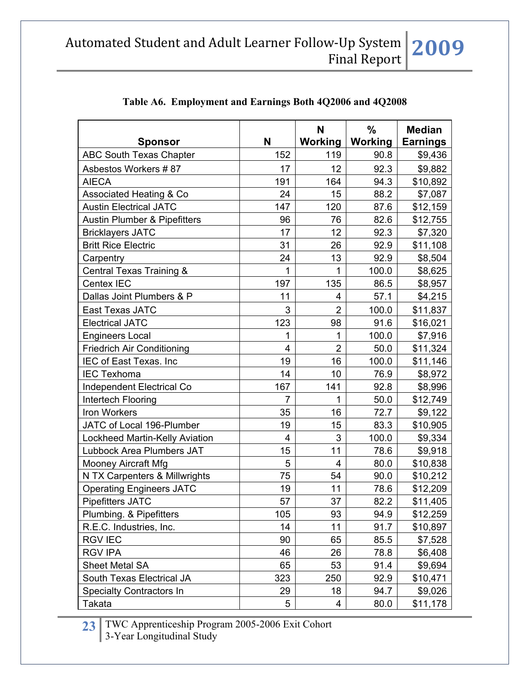|                                         |                | N              | $\frac{0}{0}$ | <b>Median</b>   |
|-----------------------------------------|----------------|----------------|---------------|-----------------|
| <b>Sponsor</b>                          | N              | Working        | Working       | <b>Earnings</b> |
| <b>ABC South Texas Chapter</b>          | 152            | 119            | 90.8          | \$9,436         |
| Asbestos Workers #87                    | 17             | 12             | 92.3          | \$9,882         |
| <b>AIECA</b>                            | 191            | 164            | 94.3          | \$10,892        |
| <b>Associated Heating &amp; Co</b>      | 24             | 15             | 88.2          | \$7,087         |
| <b>Austin Electrical JATC</b>           | 147            | 120            | 87.6          | \$12,159        |
| <b>Austin Plumber &amp; Pipefitters</b> | 96             | 76             | 82.6          | \$12,755        |
| <b>Bricklayers JATC</b>                 | 17             | 12             | 92.3          | \$7,320         |
| <b>Britt Rice Electric</b>              | 31             | 26             | 92.9          | \$11,108        |
| Carpentry                               | 24             | 13             | 92.9          | \$8,504         |
| Central Texas Training &                | $\mathbf{1}$   | 1              | 100.0         | \$8,625         |
| Centex IEC                              | 197            | 135            | 86.5          | \$8,957         |
| Dallas Joint Plumbers & P               | 11             | 4              | 57.1          | \$4,215         |
| East Texas JATC                         | 3              | $\overline{2}$ | 100.0         | \$11,837        |
| <b>Electrical JATC</b>                  | 123            | 98             | 91.6          | \$16,021        |
| <b>Engineers Local</b>                  | 1              | 1              | 100.0         | \$7,916         |
| <b>Friedrich Air Conditioning</b>       | 4              | $\overline{2}$ | 50.0          | \$11,324        |
| IEC of East Texas. Inc                  | 19             | 16             | 100.0         | \$11,146        |
| <b>IEC Texhoma</b>                      | 14             | 10             | 76.9          | \$8,972         |
| Independent Electrical Co               | 167            | 141            | 92.8          | \$8,996         |
| Intertech Flooring                      | $\overline{7}$ | $\mathbf{1}$   | 50.0          | \$12,749        |
| Iron Workers                            | 35             | 16             | 72.7          | \$9,122         |
| JATC of Local 196-Plumber               | 19             | 15             | 83.3          | \$10,905        |
| <b>Lockheed Martin-Kelly Aviation</b>   | 4              | 3              | 100.0         | \$9,334         |
| Lubbock Area Plumbers JAT               | 15             | 11             | 78.6          | \$9,918         |
| <b>Mooney Aircraft Mfg</b>              | 5              | $\overline{4}$ | 80.0          | \$10,838        |
| N TX Carpenters & Millwrights           | 75             | 54             | 90.0          | \$10,212        |
| <b>Operating Engineers JATC</b>         | 19             | 11             | 78.6          | \$12,209        |
| <b>Pipefitters JATC</b>                 | 57             | 37             | 82.2          | \$11.405        |
| Plumbing. & Pipefitters                 | 105            | 93             | 94.9          | \$12,259        |
| R.E.C. Industries, Inc.                 | 14             | 11             | 91.7          | \$10,897        |
| <b>RGV IEC</b>                          | 90             | 65             | 85.5          | \$7,528         |
| <b>RGV IPA</b>                          | 46             | 26             | 78.8          | \$6,408         |
| <b>Sheet Metal SA</b>                   | 65             | 53             | 91.4          | \$9,694         |
| South Texas Electrical JA               | 323            | 250            | 92.9          | \$10,471        |
| <b>Specialty Contractors In</b>         | 29             | 18             | 94.7          | \$9,026         |
| Takata                                  | 5              | 4              | 80.0          | \$11,178        |

## **Table A6. Employment and Earnings Both 4Q2006 and 4Q2008**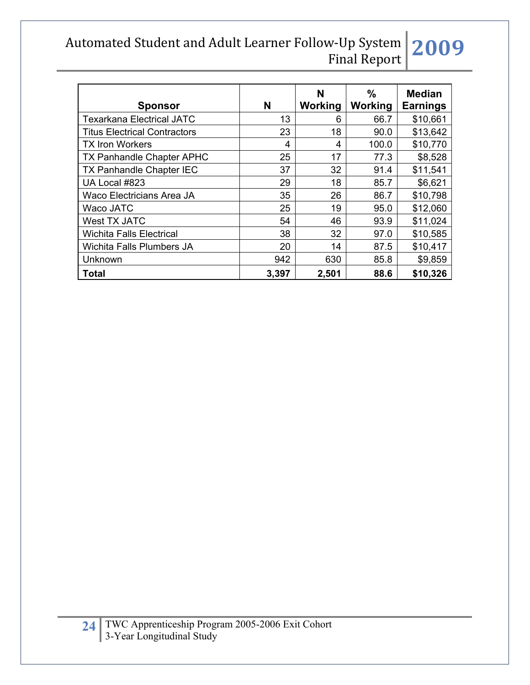| <b>Sponsor</b>                      | N     | N<br>Working | $\%$<br>Working | <b>Median</b><br><b>Earnings</b> |
|-------------------------------------|-------|--------------|-----------------|----------------------------------|
| <b>Texarkana Electrical JATC</b>    | 13    | 6            | 66.7            | \$10,661                         |
| <b>Titus Electrical Contractors</b> | 23    | 18           | 90.0            | \$13,642                         |
| <b>TX Iron Workers</b>              | 4     | 4            | 100.0           | \$10,770                         |
| <b>TX Panhandle Chapter APHC</b>    | 25    | 17           | 77.3            | \$8,528                          |
| <b>TX Panhandle Chapter IEC</b>     | 37    | 32           | 91.4            | \$11,541                         |
| UA Local #823                       | 29    | 18           | 85.7            | \$6,621                          |
| <b>Waco Electricians Area JA</b>    | 35    | 26           | 86.7            | \$10,798                         |
| Waco JATC                           | 25    | 19           | 95.0            | \$12,060                         |
| West TX JATC                        | 54    | 46           | 93.9            | \$11,024                         |
| <b>Wichita Falls Electrical</b>     | 38    | 32           | 97.0            | \$10,585                         |
| Wichita Falls Plumbers JA           | 20    | 14           | 87.5            | \$10,417                         |
| Unknown                             | 942   | 630          | 85.8            | \$9,859                          |
| <b>Total</b>                        | 3,397 | 2,501        | 88.6            | \$10,326                         |